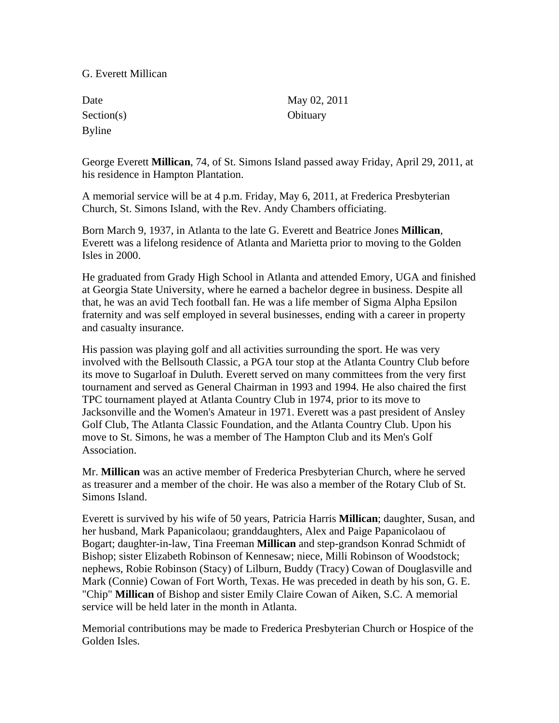## G. Everett Millican

| Date          | May 02, 2011 |
|---------------|--------------|
| Section(s)    | Obituary     |
| <b>Byline</b> |              |

George Everett **Millican**, 74, of St. Simons Island passed away Friday, April 29, 2011, at his residence in Hampton Plantation.

A memorial service will be at 4 p.m. Friday, May 6, 2011, at Frederica Presbyterian Church, St. Simons Island, with the Rev. Andy Chambers officiating.

Born March 9, 1937, in Atlanta to the late G. Everett and Beatrice Jones **Millican**, Everett was a lifelong residence of Atlanta and Marietta prior to moving to the Golden Isles in 2000.

He graduated from Grady High School in Atlanta and attended Emory, UGA and finished at Georgia State University, where he earned a bachelor degree in business. Despite all that, he was an avid Tech football fan. He was a life member of Sigma Alpha Epsilon fraternity and was self employed in several businesses, ending with a career in property and casualty insurance.

His passion was playing golf and all activities surrounding the sport. He was very involved with the Bellsouth Classic, a PGA tour stop at the Atlanta Country Club before its move to Sugarloaf in Duluth. Everett served on many committees from the very first tournament and served as General Chairman in 1993 and 1994. He also chaired the first TPC tournament played at Atlanta Country Club in 1974, prior to its move to Jacksonville and the Women's Amateur in 1971. Everett was a past president of Ansley Golf Club, The Atlanta Classic Foundation, and the Atlanta Country Club. Upon his move to St. Simons, he was a member of The Hampton Club and its Men's Golf Association.

Mr. **Millican** was an active member of Frederica Presbyterian Church, where he served as treasurer and a member of the choir. He was also a member of the Rotary Club of St. Simons Island.

Everett is survived by his wife of 50 years, Patricia Harris **Millican**; daughter, Susan, and her husband, Mark Papanicolaou; granddaughters, Alex and Paige Papanicolaou of Bogart; daughter-in-law, Tina Freeman **Millican** and step-grandson Konrad Schmidt of Bishop; sister Elizabeth Robinson of Kennesaw; niece, Milli Robinson of Woodstock; nephews, Robie Robinson (Stacy) of Lilburn, Buddy (Tracy) Cowan of Douglasville and Mark (Connie) Cowan of Fort Worth, Texas. He was preceded in death by his son, G. E. "Chip" **Millican** of Bishop and sister Emily Claire Cowan of Aiken, S.C. A memorial service will be held later in the month in Atlanta.

Memorial contributions may be made to Frederica Presbyterian Church or Hospice of the Golden Isles.